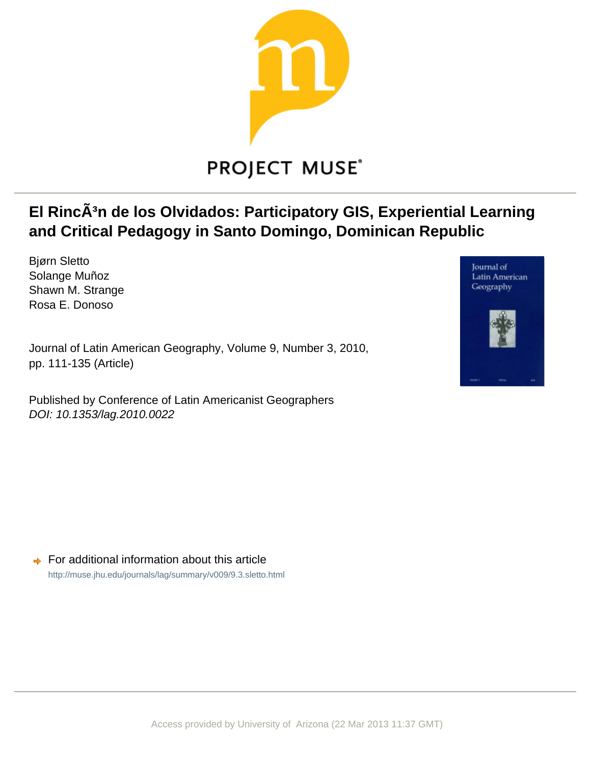

# **El RincÃ<sup>3</sup>n de los Olvidados: Participatory GIS, Experiential Learning and Critical Pedagogy in Santo Domingo, Dominican Republic**

Bjørn Sletto Solange Muñoz Shawn M. Strange Rosa E. Donoso

Journal of Latin American Geography, Volume 9, Number 3, 2010, pp. 111-135 (Article)

Published by Conference of Latin Americanist Geographers DOI: 10.1353/lag.2010.0022



**■** For additional information about this article <http://muse.jhu.edu/journals/lag/summary/v009/9.3.sletto.html>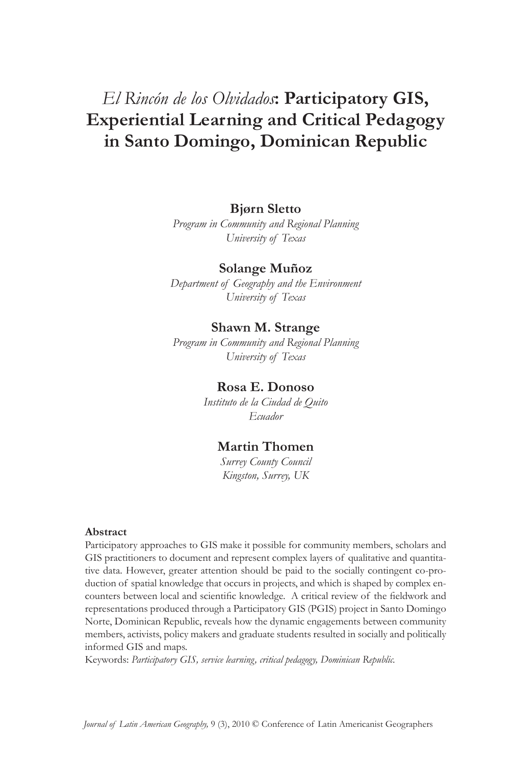# *El Rincón de los Olvidados***: Participatory GIS, Experiential Learning and Critical Pedagogy in Santo Domingo, Dominican Republic**

## **Bjørn Sletto**

*Program in Community and Regional Planning University of Texas*

# **Solange Muñoz**

*Department of Geography and the Environment University of Texas*

# **Shawn M. Strange**

*Program in Community and Regional Planning University of Texas*

# **Rosa E. Donoso**

*Instituto de la Ciudad de Quito Ecuador*

# **Martin Thomen**

*Surrey County Council Kingston, Surrey, UK*

#### **Abstract**

Participatory approaches to GIS make it possible for community members, scholars and GIS practitioners to document and represent complex layers of qualitative and quantitative data. However, greater attention should be paid to the socially contingent co-production of spatial knowledge that occurs in projects, and which is shaped by complex encounters between local and scientific knowledge. A critical review of the fieldwork and representations produced through a Participatory GIS (PGIS) project in Santo Domingo Norte, Dominican Republic, reveals how the dynamic engagements between community members, activists, policy makers and graduate students resulted in socially and politically informed GIS and maps.

Keywords: *Participatory GIS, service learning, critical pedagogy, Dominican Republic.*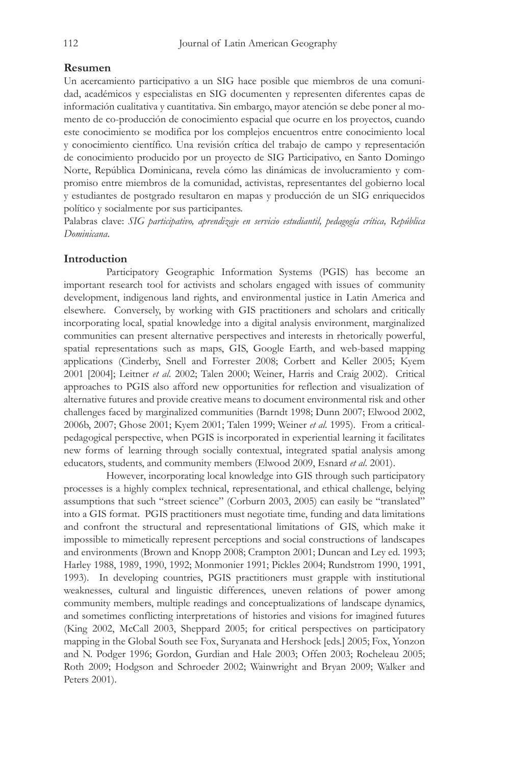#### **Resumen**

Un acercamiento participativo a un SIG hace posible que miembros de una comunidad, académicos y especialistas en SIG documenten y representen diferentes capas de información cualitativa y cuantitativa. Sin embargo, mayor atención se debe poner al momento de co-producción de conocimiento espacial que ocurre en los proyectos, cuando este conocimiento se modifica por los complejos encuentros entre conocimiento local y conocimiento científico. Una revisión crítica del trabajo de campo y representación de conocimiento producido por un proyecto de SIG Participativo, en Santo Domingo Norte, República Dominicana, revela cómo las dinámicas de involucramiento y compromiso entre miembros de la comunidad, activistas, representantes del gobierno local y estudiantes de postgrado resultaron en mapas y producción de un SIG enriquecidos político y socialmente por sus participantes.

Palabras clave: *SIG participativo, aprendizaje en servicio estudiantil, pedagogía crítica, República Dominicana*.

#### **Introduction**

Participatory Geographic Information Systems (PGIS) has become an important research tool for activists and scholars engaged with issues of community development, indigenous land rights, and environmental justice in Latin America and elsewhere. Conversely, by working with GIS practitioners and scholars and critically incorporating local, spatial knowledge into a digital analysis environment, marginalized communities can present alternative perspectives and interests in rhetorically powerful, spatial representations such as maps, GIS, Google Earth, and web-based mapping applications (Cinderby, Snell and Forrester 2008; Corbett and Keller 2005; Kyem 2001 [2004]; Leitner *et al*. 2002; Talen 2000; Weiner, Harris and Craig 2002). Critical approaches to PGIS also afford new opportunities for reflection and visualization of alternative futures and provide creative means to document environmental risk and other challenges faced by marginalized communities (Barndt 1998; Dunn 2007; Elwood 2002, 2006b, 2007; Ghose 2001; Kyem 2001; Talen 1999; Weiner *et al*. 1995). From a criticalpedagogical perspective, when PGIS is incorporated in experiential learning it facilitates new forms of learning through socially contextual, integrated spatial analysis among educators, students, and community members (Elwood 2009, Esnard *et al*. 2001).

However, incorporating local knowledge into GIS through such participatory processes is a highly complex technical, representational, and ethical challenge, belying assumptions that such "street science" (Corburn 2003, 2005) can easily be "translated" into a GIS format. PGIS practitioners must negotiate time, funding and data limitations and confront the structural and representational limitations of GIS, which make it impossible to mimetically represent perceptions and social constructions of landscapes and environments (Brown and Knopp 2008; Crampton 2001; Duncan and Ley ed. 1993; Harley 1988, 1989, 1990, 1992; Monmonier 1991; Pickles 2004; Rundstrom 1990, 1991, 1993). In developing countries, PGIS practitioners must grapple with institutional weaknesses, cultural and linguistic differences, uneven relations of power among community members, multiple readings and conceptualizations of landscape dynamics, and sometimes conflicting interpretations of histories and visions for imagined futures (King 2002, McCall 2003, Sheppard 2005; for critical perspectives on participatory mapping in the Global South see Fox, Suryanata and Hershock [eds.] 2005; Fox, Yonzon and N. Podger 1996; Gordon, Gurdian and Hale 2003; Offen 2003; Rocheleau 2005; Roth 2009; Hodgson and Schroeder 2002; Wainwright and Bryan 2009; Walker and Peters 2001).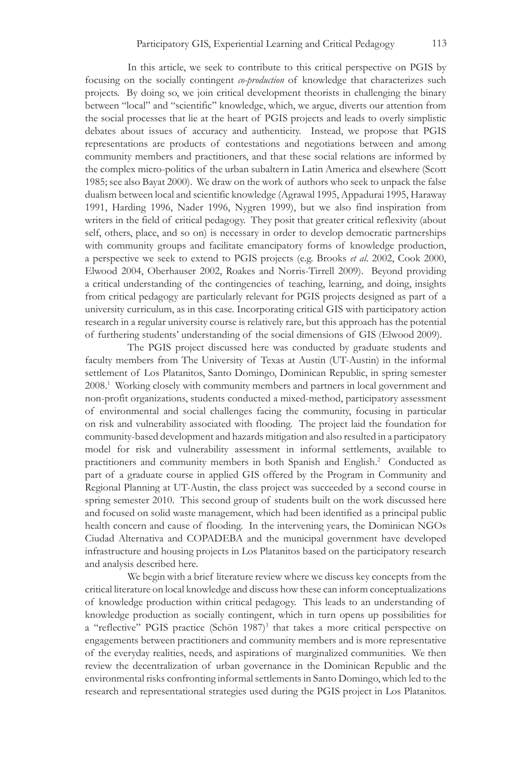In this article, we seek to contribute to this critical perspective on PGIS by focusing on the socially contingent *co-production* of knowledge that characterizes such projects. By doing so, we join critical development theorists in challenging the binary between "local" and "scientific" knowledge, which, we argue, diverts our attention from the social processes that lie at the heart of PGIS projects and leads to overly simplistic debates about issues of accuracy and authenticity. Instead, we propose that PGIS representations are products of contestations and negotiations between and among community members and practitioners, and that these social relations are informed by the complex micro-politics of the urban subaltern in Latin America and elsewhere (Scott 1985; see also Bayat 2000). We draw on the work of authors who seek to unpack the false dualism between local and scientific knowledge (Agrawal 1995, Appadurai 1995, Haraway 1991, Harding 1996, Nader 1996, Nygren 1999), but we also find inspiration from writers in the field of critical pedagogy. They posit that greater critical reflexivity (about self, others, place, and so on) is necessary in order to develop democratic partnerships with community groups and facilitate emancipatory forms of knowledge production, a perspective we seek to extend to PGIS projects (e.g. Brooks *et al*. 2002, Cook 2000, Elwood 2004, Oberhauser 2002, Roakes and Norris-Tirrell 2009). Beyond providing a critical understanding of the contingencies of teaching, learning, and doing, insights from critical pedagogy are particularly relevant for PGIS projects designed as part of a university curriculum, as in this case. Incorporating critical GIS with participatory action research in a regular university course is relatively rare, but this approach has the potential of furthering students' understanding of the social dimensions of GIS (Elwood 2009).

The PGIS project discussed here was conducted by graduate students and faculty members from The University of Texas at Austin (UT-Austin) in the informal settlement of Los Platanitos, Santo Domingo, Dominican Republic, in spring semester 2008.1 Working closely with community members and partners in local government and non-profit organizations, students conducted a mixed-method, participatory assessment of environmental and social challenges facing the community, focusing in particular on risk and vulnerability associated with flooding. The project laid the foundation for community-based development and hazards mitigation and also resulted in a participatory model for risk and vulnerability assessment in informal settlements, available to practitioners and community members in both Spanish and English.<sup>2</sup> Conducted as part of a graduate course in applied GIS offered by the Program in Community and Regional Planning at UT-Austin, the class project was succeeded by a second course in spring semester 2010. This second group of students built on the work discussed here and focused on solid waste management, which had been identified as a principal public health concern and cause of flooding. In the intervening years, the Dominican NGOs Ciudad Alternativa and COPADEBA and the municipal government have developed infrastructure and housing projects in Los Platanitos based on the participatory research and analysis described here.

We begin with a brief literature review where we discuss key concepts from the critical literature on local knowledge and discuss how these can inform conceptualizations of knowledge production within critical pedagogy. This leads to an understanding of knowledge production as socially contingent, which in turn opens up possibilities for a "reflective" PGIS practice (Schön 1987)<sup>3</sup> that takes a more critical perspective on engagements between practitioners and community members and is more representative of the everyday realities, needs, and aspirations of marginalized communities. We then review the decentralization of urban governance in the Dominican Republic and the environmental risks confronting informal settlements in Santo Domingo, which led to the research and representational strategies used during the PGIS project in Los Platanitos.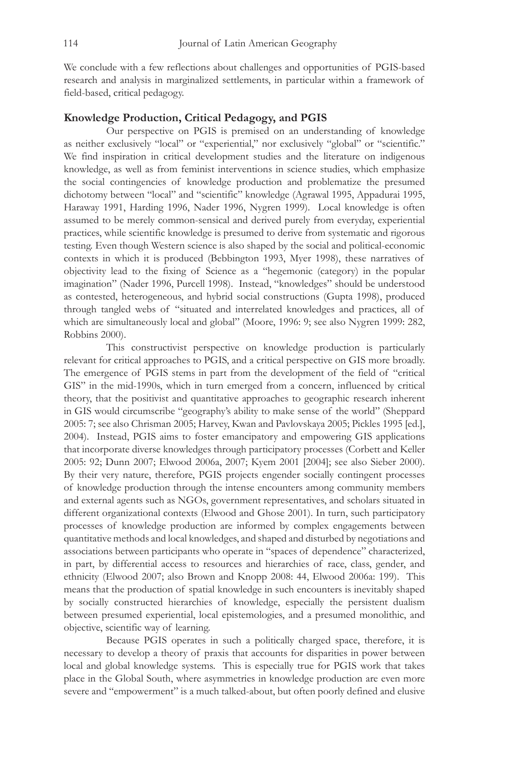We conclude with a few reflections about challenges and opportunities of PGIS-based research and analysis in marginalized settlements, in particular within a framework of field-based, critical pedagogy.

#### **Knowledge Production, Critical Pedagogy, and PGIS**

Our perspective on PGIS is premised on an understanding of knowledge as neither exclusively "local" or "experiential," nor exclusively "global" or "scientific." We find inspiration in critical development studies and the literature on indigenous knowledge, as well as from feminist interventions in science studies, which emphasize the social contingencies of knowledge production and problematize the presumed dichotomy between "local" and "scientific" knowledge (Agrawal 1995, Appadurai 1995, Haraway 1991, Harding 1996, Nader 1996, Nygren 1999). Local knowledge is often assumed to be merely common-sensical and derived purely from everyday, experiential practices, while scientific knowledge is presumed to derive from systematic and rigorous testing. Even though Western science is also shaped by the social and political-economic contexts in which it is produced (Bebbington 1993, Myer 1998), these narratives of objectivity lead to the fixing of Science as a "hegemonic (category) in the popular imagination" (Nader 1996, Purcell 1998). Instead, "knowledges" should be understood as contested, heterogeneous, and hybrid social constructions (Gupta 1998), produced through tangled webs of "situated and interrelated knowledges and practices, all of which are simultaneously local and global" (Moore, 1996: 9; see also Nygren 1999: 282, Robbins 2000).

This constructivist perspective on knowledge production is particularly relevant for critical approaches to PGIS, and a critical perspective on GIS more broadly. The emergence of PGIS stems in part from the development of the field of "critical GIS" in the mid-1990s, which in turn emerged from a concern, influenced by critical theory, that the positivist and quantitative approaches to geographic research inherent in GIS would circumscribe "geography's ability to make sense of the world" (Sheppard 2005: 7; see also Chrisman 2005; Harvey, Kwan and Pavlovskaya 2005; Pickles 1995 [ed.], 2004). Instead, PGIS aims to foster emancipatory and empowering GIS applications that incorporate diverse knowledges through participatory processes (Corbett and Keller 2005: 92; Dunn 2007; Elwood 2006a, 2007; Kyem 2001 [2004]; see also Sieber 2000). By their very nature, therefore, PGIS projects engender socially contingent processes of knowledge production through the intense encounters among community members and external agents such as NGOs, government representatives, and scholars situated in different organizational contexts (Elwood and Ghose 2001). In turn, such participatory processes of knowledge production are informed by complex engagements between quantitative methods and local knowledges, and shaped and disturbed by negotiations and associations between participants who operate in "spaces of dependence" characterized, in part, by differential access to resources and hierarchies of race, class, gender, and ethnicity (Elwood 2007; also Brown and Knopp 2008: 44, Elwood 2006a: 199). This means that the production of spatial knowledge in such encounters is inevitably shaped by socially constructed hierarchies of knowledge, especially the persistent dualism between presumed experiential, local epistemologies, and a presumed monolithic, and objective, scientific way of learning.

Because PGIS operates in such a politically charged space, therefore, it is necessary to develop a theory of praxis that accounts for disparities in power between local and global knowledge systems. This is especially true for PGIS work that takes place in the Global South, where asymmetries in knowledge production are even more severe and "empowerment" is a much talked-about, but often poorly defined and elusive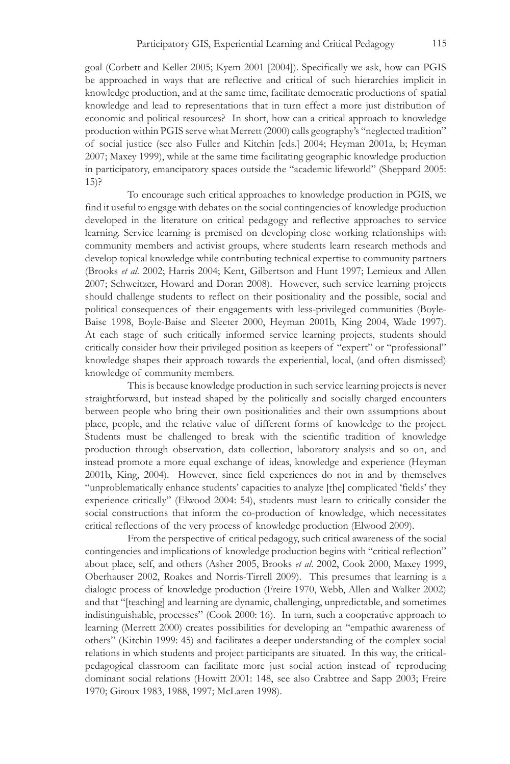goal (Corbett and Keller 2005; Kyem 2001 [2004]). Specifically we ask, how can PGIS be approached in ways that are reflective and critical of such hierarchies implicit in knowledge production, and at the same time, facilitate democratic productions of spatial knowledge and lead to representations that in turn effect a more just distribution of economic and political resources? In short, how can a critical approach to knowledge production within PGIS serve what Merrett (2000) calls geography's "neglected tradition" of social justice (see also Fuller and Kitchin [eds.] 2004; Heyman 2001a, b; Heyman 2007; Maxey 1999), while at the same time facilitating geographic knowledge production in participatory, emancipatory spaces outside the "academic lifeworld" (Sheppard 2005: 15)?

To encourage such critical approaches to knowledge production in PGIS, we find it useful to engage with debates on the social contingencies of knowledge production developed in the literature on critical pedagogy and reflective approaches to service learning. Service learning is premised on developing close working relationships with community members and activist groups, where students learn research methods and develop topical knowledge while contributing technical expertise to community partners (Brooks *et al*. 2002; Harris 2004; Kent, Gilbertson and Hunt 1997; Lemieux and Allen 2007; Schweitzer, Howard and Doran 2008). However, such service learning projects should challenge students to reflect on their positionality and the possible, social and political consequences of their engagements with less-privileged communities (Boyle-Baise 1998, Boyle-Baise and Sleeter 2000, Heyman 2001b, King 2004, Wade 1997). At each stage of such critically informed service learning projects, students should critically consider how their privileged position as keepers of "expert" or "professional" knowledge shapes their approach towards the experiential, local, (and often dismissed) knowledge of community members.

This is because knowledge production in such service learning projects is never straightforward, but instead shaped by the politically and socially charged encounters between people who bring their own positionalities and their own assumptions about place, people, and the relative value of different forms of knowledge to the project. Students must be challenged to break with the scientific tradition of knowledge production through observation, data collection, laboratory analysis and so on, and instead promote a more equal exchange of ideas, knowledge and experience (Heyman 2001b, King, 2004). However, since field experiences do not in and by themselves "unproblematically enhance students' capacities to analyze [the] complicated 'fields' they experience critically" (Elwood 2004: 54), students must learn to critically consider the social constructions that inform the co-production of knowledge, which necessitates critical reflections of the very process of knowledge production (Elwood 2009).

From the perspective of critical pedagogy, such critical awareness of the social contingencies and implications of knowledge production begins with "critical reflection" about place, self, and others (Asher 2005, Brooks *et al*. 2002, Cook 2000, Maxey 1999, Oberhauser 2002, Roakes and Norris-Tirrell 2009). This presumes that learning is a dialogic process of knowledge production (Freire 1970, Webb, Allen and Walker 2002) and that "[teaching] and learning are dynamic, challenging, unpredictable, and sometimes indistinguishable, processes" (Cook 2000: 16). In turn, such a cooperative approach to learning (Merrett 2000) creates possibilities for developing an "empathic awareness of others" (Kitchin 1999: 45) and facilitates a deeper understanding of the complex social relations in which students and project participants are situated. In this way, the criticalpedagogical classroom can facilitate more just social action instead of reproducing dominant social relations (Howitt 2001: 148, see also Crabtree and Sapp 2003; Freire 1970; Giroux 1983, 1988, 1997; McLaren 1998).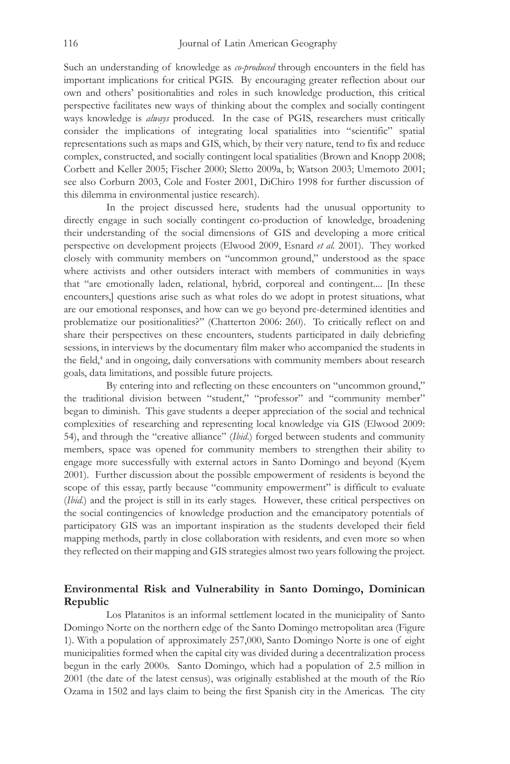Such an understanding of knowledge as *co-produced* through encounters in the field has important implications for critical PGIS. By encouraging greater reflection about our own and others' positionalities and roles in such knowledge production, this critical perspective facilitates new ways of thinking about the complex and socially contingent ways knowledge is *always* produced. In the case of PGIS, researchers must critically consider the implications of integrating local spatialities into "scientific" spatial representations such as maps and GIS, which, by their very nature, tend to fix and reduce complex, constructed, and socially contingent local spatialities (Brown and Knopp 2008; Corbett and Keller 2005; Fischer 2000; Sletto 2009a, b; Watson 2003; Umemoto 2001; see also Corburn 2003, Cole and Foster 2001, DiChiro 1998 for further discussion of this dilemma in environmental justice research).

In the project discussed here, students had the unusual opportunity to directly engage in such socially contingent co-production of knowledge, broadening their understanding of the social dimensions of GIS and developing a more critical perspective on development projects (Elwood 2009, Esnard *et al.* 2001). They worked closely with community members on "uncommon ground," understood as the space where activists and other outsiders interact with members of communities in ways that "are emotionally laden, relational, hybrid, corporeal and contingent.... [In these encounters,] questions arise such as what roles do we adopt in protest situations, what are our emotional responses, and how can we go beyond pre-determined identities and problematize our positionalities?" (Chatterton 2006: 260). To critically reflect on and share their perspectives on these encounters, students participated in daily debriefing sessions, in interviews by the documentary film maker who accompanied the students in the field,<sup>4</sup> and in ongoing, daily conversations with community members about research goals, data limitations, and possible future projects.

By entering into and reflecting on these encounters on "uncommon ground," the traditional division between "student," "professor" and "community member" began to diminish. This gave students a deeper appreciation of the social and technical complexities of researching and representing local knowledge via GIS (Elwood 2009: 54), and through the "creative alliance" (*Ibid*.) forged between students and community members, space was opened for community members to strengthen their ability to engage more successfully with external actors in Santo Domingo and beyond (Kyem 2001). Further discussion about the possible empowerment of residents is beyond the scope of this essay, partly because "community empowerment" is difficult to evaluate (*Ibid.*) and the project is still in its early stages. However, these critical perspectives on the social contingencies of knowledge production and the emancipatory potentials of participatory GIS was an important inspiration as the students developed their field mapping methods, partly in close collaboration with residents, and even more so when they reflected on their mapping and GIS strategies almost two years following the project.

# **Environmental Risk and Vulnerability in Santo Domingo, Dominican Republic**

Los Platanitos is an informal settlement located in the municipality of Santo Domingo Norte on the northern edge of the Santo Domingo metropolitan area (Figure 1). With a population of approximately 257,000, Santo Domingo Norte is one of eight municipalities formed when the capital city was divided during a decentralization process begun in the early 2000s. Santo Domingo, which had a population of 2.5 million in 2001 (the date of the latest census), was originally established at the mouth of the Río Ozama in 1502 and lays claim to being the first Spanish city in the Americas. The city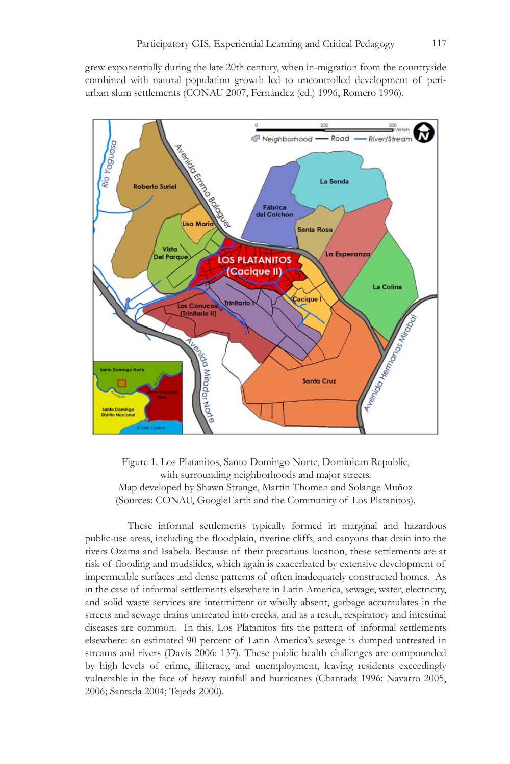grew exponentially during the late 20th century, when in-migration from the countryside combined with natural population growth led to uncontrolled development of periurban slum settlements (CONAU 2007, Fernández (ed.) 1996, Romero 1996).



Figure 1. Los Platanitos, Santo Domingo Norte, Dominican Republic, with surrounding neighborhoods and major streets. Map developed by Shawn Strange, Martin Thomen and Solange Muñoz (Sources: CONAU, GoogleEarth and the Community of Los Platanitos).

These informal settlements typically formed in marginal and hazardous public-use areas, including the floodplain, riverine cliffs, and canyons that drain into the rivers Ozama and Isabela. Because of their precarious location, these settlements are at risk of flooding and mudslides, which again is exacerbated by extensive development of impermeable surfaces and dense patterns of often inadequately constructed homes. As in the case of informal settlements elsewhere in Latin America, sewage, water, electricity, and solid waste services are intermittent or wholly absent, garbage accumulates in the streets and sewage drains untreated into creeks, and as a result, respiratory and intestinal diseases are common. In this, Los Platanitos fits the pattern of informal settlements elsewhere: an estimated 90 percent of Latin America's sewage is dumped untreated in streams and rivers (Davis 2006: 137). These public health challenges are compounded by high levels of crime, illiteracy, and unemployment, leaving residents exceedingly vulnerable in the face of heavy rainfall and hurricanes (Chantada 1996; Navarro 2005, 2006; Santada 2004; Tejeda 2000).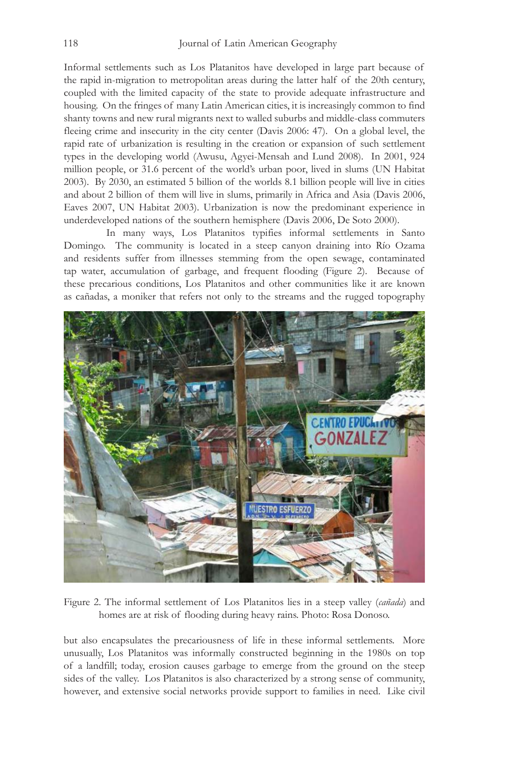Informal settlements such as Los Platanitos have developed in large part because of the rapid in-migration to metropolitan areas during the latter half of the 20th century, coupled with the limited capacity of the state to provide adequate infrastructure and housing. On the fringes of many Latin American cities, it is increasingly common to find shanty towns and new rural migrants next to walled suburbs and middle-class commuters fleeing crime and insecurity in the city center (Davis 2006: 47). On a global level, the rapid rate of urbanization is resulting in the creation or expansion of such settlement types in the developing world (Awusu, Agyei-Mensah and Lund 2008). In 2001, 924 million people, or 31.6 percent of the world's urban poor, lived in slums (UN Habitat 2003). By 2030, an estimated 5 billion of the worlds 8.1 billion people will live in cities and about 2 billion of them will live in slums, primarily in Africa and Asia (Davis 2006, Eaves 2007, UN Habitat 2003). Urbanization is now the predominant experience in underdeveloped nations of the southern hemisphere (Davis 2006, De Soto 2000).

In many ways, Los Platanitos typifies informal settlements in Santo Domingo. The community is located in a steep canyon draining into Río Ozama and residents suffer from illnesses stemming from the open sewage, contaminated tap water, accumulation of garbage, and frequent flooding (Figure 2). Because of these precarious conditions, Los Platanitos and other communities like it are known as cañadas, a moniker that refers not only to the streams and the rugged topography



Figure 2. The informal settlement of Los Platanitos lies in a steep valley (*cañada*) and homes are at risk of flooding during heavy rains. Photo: Rosa Donoso.

but also encapsulates the precariousness of life in these informal settlements. More unusually, Los Platanitos was informally constructed beginning in the 1980s on top of a landfill; today, erosion causes garbage to emerge from the ground on the steep sides of the valley. Los Platanitos is also characterized by a strong sense of community, however, and extensive social networks provide support to families in need. Like civil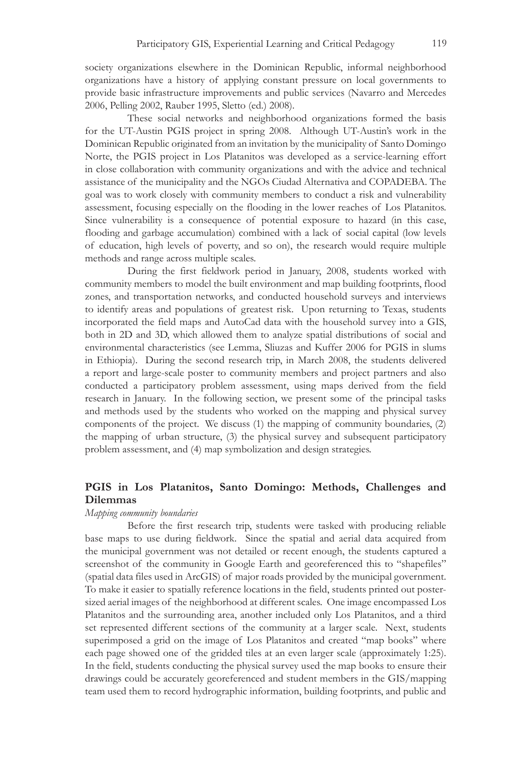society organizations elsewhere in the Dominican Republic, informal neighborhood organizations have a history of applying constant pressure on local governments to provide basic infrastructure improvements and public services (Navarro and Mercedes 2006, Pelling 2002, Rauber 1995, Sletto (ed.) 2008).

These social networks and neighborhood organizations formed the basis for the UT-Austin PGIS project in spring 2008. Although UT-Austin's work in the Dominican Republic originated from an invitation by the municipality of Santo Domingo Norte, the PGIS project in Los Platanitos was developed as a service-learning effort in close collaboration with community organizations and with the advice and technical assistance of the municipality and the NGOs Ciudad Alternativa and COPADEBA. The goal was to work closely with community members to conduct a risk and vulnerability assessment, focusing especially on the flooding in the lower reaches of Los Platanitos. Since vulnerability is a consequence of potential exposure to hazard (in this case, flooding and garbage accumulation) combined with a lack of social capital (low levels of education, high levels of poverty, and so on), the research would require multiple methods and range across multiple scales.

During the first fieldwork period in January, 2008, students worked with community members to model the built environment and map building footprints, flood zones, and transportation networks, and conducted household surveys and interviews to identify areas and populations of greatest risk. Upon returning to Texas, students incorporated the field maps and AutoCad data with the household survey into a GIS, both in 2D and 3D, which allowed them to analyze spatial distributions of social and environmental characteristics (see Lemma, Sliuzas and Kuffer 2006 for PGIS in slums in Ethiopia). During the second research trip, in March 2008, the students delivered a report and large-scale poster to community members and project partners and also conducted a participatory problem assessment, using maps derived from the field research in January. In the following section, we present some of the principal tasks and methods used by the students who worked on the mapping and physical survey components of the project. We discuss (1) the mapping of community boundaries, (2) the mapping of urban structure, (3) the physical survey and subsequent participatory problem assessment, and (4) map symbolization and design strategies.

## **PGIS in Los Platanitos, Santo Domingo: Methods, Challenges and Dilemmas**

#### *Mapping community boundaries*

Before the first research trip, students were tasked with producing reliable base maps to use during fieldwork. Since the spatial and aerial data acquired from the municipal government was not detailed or recent enough, the students captured a screenshot of the community in Google Earth and georeferenced this to "shapefiles" (spatial data files used in ArcGIS) of major roads provided by the municipal government. To make it easier to spatially reference locations in the field, students printed out postersized aerial images of the neighborhood at different scales. One image encompassed Los Platanitos and the surrounding area, another included only Los Platanitos, and a third set represented different sections of the community at a larger scale. Next, students superimposed a grid on the image of Los Platanitos and created "map books" where each page showed one of the gridded tiles at an even larger scale (approximately 1:25). In the field, students conducting the physical survey used the map books to ensure their drawings could be accurately georeferenced and student members in the GIS/mapping team used them to record hydrographic information, building footprints, and public and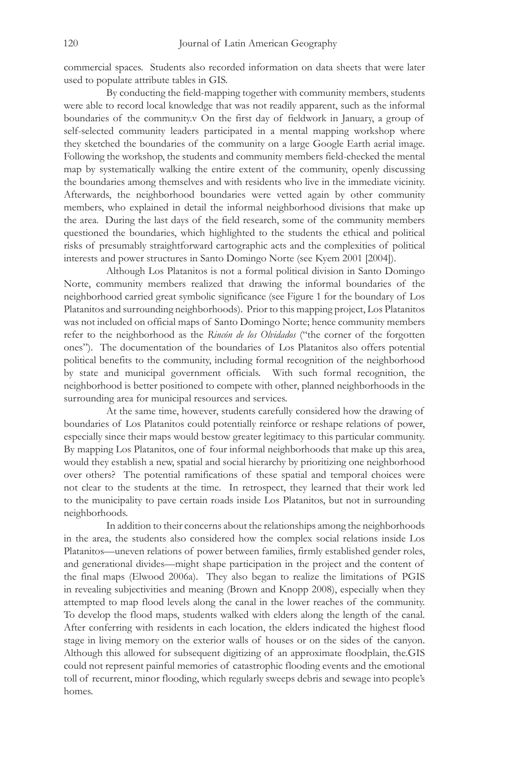commercial spaces. Students also recorded information on data sheets that were later used to populate attribute tables in GIS.

By conducting the field-mapping together with community members, students were able to record local knowledge that was not readily apparent, such as the informal boundaries of the community.v On the first day of fieldwork in January, a group of self-selected community leaders participated in a mental mapping workshop where they sketched the boundaries of the community on a large Google Earth aerial image. Following the workshop, the students and community members field-checked the mental map by systematically walking the entire extent of the community, openly discussing the boundaries among themselves and with residents who live in the immediate vicinity. Afterwards, the neighborhood boundaries were vetted again by other community members, who explained in detail the informal neighborhood divisions that make up the area. During the last days of the field research, some of the community members questioned the boundaries, which highlighted to the students the ethical and political risks of presumably straightforward cartographic acts and the complexities of political interests and power structures in Santo Domingo Norte (see Kyem 2001 [2004]).

Although Los Platanitos is not a formal political division in Santo Domingo Norte, community members realized that drawing the informal boundaries of the neighborhood carried great symbolic significance (see Figure 1 for the boundary of Los Platanitos and surrounding neighborhoods). Prior to this mapping project, Los Platanitos was not included on official maps of Santo Domingo Norte; hence community members refer to the neighborhood as the *Rincón de los Olvidados* ("the corner of the forgotten ones"). The documentation of the boundaries of Los Platanitos also offers potential political benefits to the community, including formal recognition of the neighborhood by state and municipal government officials. With such formal recognition, the neighborhood is better positioned to compete with other, planned neighborhoods in the surrounding area for municipal resources and services.

At the same time, however, students carefully considered how the drawing of boundaries of Los Platanitos could potentially reinforce or reshape relations of power, especially since their maps would bestow greater legitimacy to this particular community. By mapping Los Platanitos, one of four informal neighborhoods that make up this area, would they establish a new, spatial and social hierarchy by prioritizing one neighborhood over others? The potential ramifications of these spatial and temporal choices were not clear to the students at the time. In retrospect, they learned that their work led to the municipality to pave certain roads inside Los Platanitos, but not in surrounding neighborhoods.

In addition to their concerns about the relationships among the neighborhoods in the area, the students also considered how the complex social relations inside Los Platanitos—uneven relations of power between families, firmly established gender roles, and generational divides—might shape participation in the project and the content of the final maps (Elwood 2006a). They also began to realize the limitations of PGIS in revealing subjectivities and meaning (Brown and Knopp 2008), especially when they attempted to map flood levels along the canal in the lower reaches of the community. To develop the flood maps, students walked with elders along the length of the canal. After conferring with residents in each location, the elders indicated the highest flood stage in living memory on the exterior walls of houses or on the sides of the canyon. Although this allowed for subsequent digitizing of an approximate floodplain, the.GIS could not represent painful memories of catastrophic flooding events and the emotional toll of recurrent, minor flooding, which regularly sweeps debris and sewage into people's homes.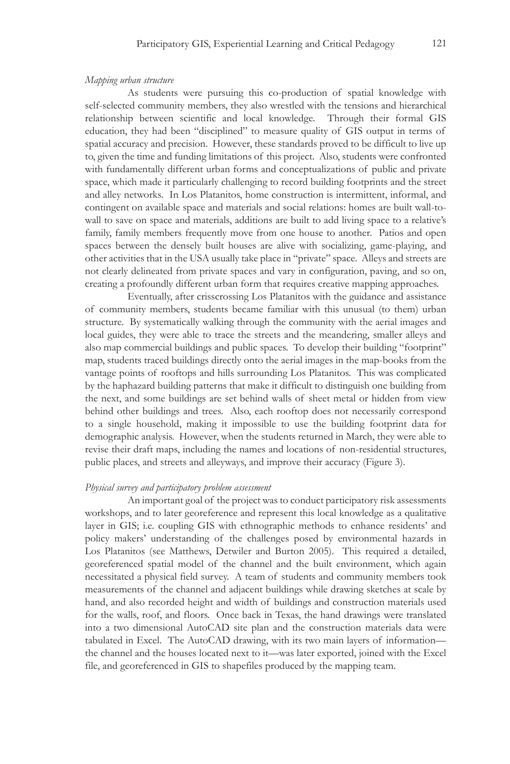#### *Mapping urban structure*

As students were pursuing this co-production of spatial knowledge with self-selected community members, they also wrestled with the tensions and hierarchical relationship between scientific and local knowledge. Through their formal GIS education, they had been "disciplined" to measure quality of GIS output in terms of spatial accuracy and precision. However, these standards proved to be difficult to live up to, given the time and funding limitations of this project. Also, students were confronted with fundamentally different urban forms and conceptualizations of public and private space, which made it particularly challenging to record building footprints and the street and alley networks. In Los Platanitos, home construction is intermittent, informal, and contingent on available space and materials and social relations: homes are built wall-towall to save on space and materials, additions are built to add living space to a relative's family, family members frequently move from one house to another. Patios and open spaces between the densely built houses are alive with socializing, game-playing, and other activities that in the USA usually take place in "private" space. Alleys and streets are not clearly delineated from private spaces and vary in configuration, paving, and so on, creating a profoundly different urban form that requires creative mapping approaches.

Eventually, after crisscrossing Los Platanitos with the guidance and assistance of community members, students became familiar with this unusual (to them) urban structure. By systematically walking through the community with the aerial images and local guides, they were able to trace the streets and the meandering, smaller alleys and also map commercial buildings and public spaces. To develop their building "footprint" map, students traced buildings directly onto the aerial images in the map-books from the vantage points of rooftops and hills surrounding Los Platanitos. This was complicated by the haphazard building patterns that make it difficult to distinguish one building from the next, and some buildings are set behind walls of sheet metal or hidden from view behind other buildings and trees. Also, each rooftop does not necessarily correspond to a single household, making it impossible to use the building footprint data for demographic analysis. However, when the students returned in March, they were able to revise their draft maps, including the names and locations of non-residential structures, public places, and streets and alleyways, and improve their accuracy (Figure 3).

#### *Physical survey and participatory problem assessment*

An important goal of the project was to conduct participatory risk assessments workshops, and to later georeference and represent this local knowledge as a qualitative layer in GIS; i.e. coupling GIS with ethnographic methods to enhance residents' and policy makers' understanding of the challenges posed by environmental hazards in Los Platanitos (see Matthews, Detwiler and Burton 2005). This required a detailed, georeferenced spatial model of the channel and the built environment, which again necessitated a physical field survey. A team of students and community members took measurements of the channel and adjacent buildings while drawing sketches at scale by hand, and also recorded height and width of buildings and construction materials used for the walls, roof, and floors. Once back in Texas, the hand drawings were translated into a two dimensional AutoCAD site plan and the construction materials data were tabulated in Excel. The AutoCAD drawing, with its two main layers of information the channel and the houses located next to it—was later exported, joined with the Excel file, and georeferenced in GIS to shapefiles produced by the mapping team.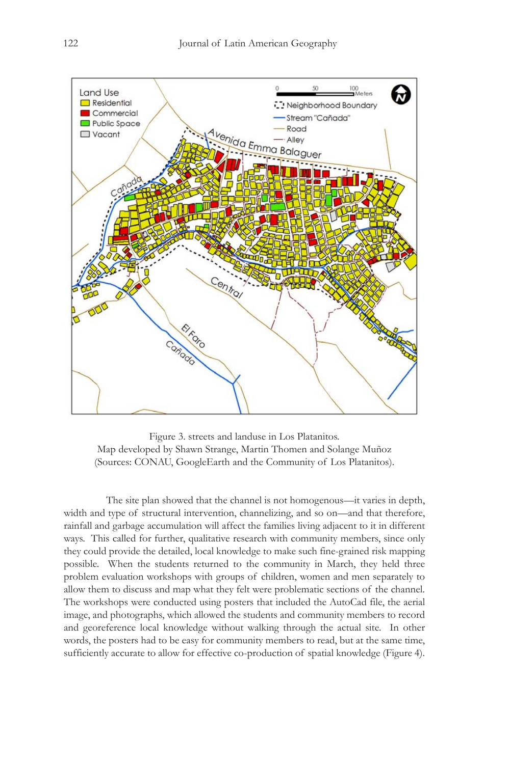

Figure 3. streets and landuse in Los Platanitos. Map developed by Shawn Strange, Martin Thomen and Solange Muñoz (Sources: CONAU, GoogleEarth and the Community of Los Platanitos).

The site plan showed that the channel is not homogenous—it varies in depth, width and type of structural intervention, channelizing, and so on—and that therefore, rainfall and garbage accumulation will affect the families living adjacent to it in different ways. This called for further, qualitative research with community members, since only they could provide the detailed, local knowledge to make such fine-grained risk mapping possible. When the students returned to the community in March, they held three problem evaluation workshops with groups of children, women and men separately to allow them to discuss and map what they felt were problematic sections of the channel. The workshops were conducted using posters that included the AutoCad file, the aerial image, and photographs, which allowed the students and community members to record and georeference local knowledge without walking through the actual site. In other words, the posters had to be easy for community members to read, but at the same time, sufficiently accurate to allow for effective co-production of spatial knowledge (Figure 4).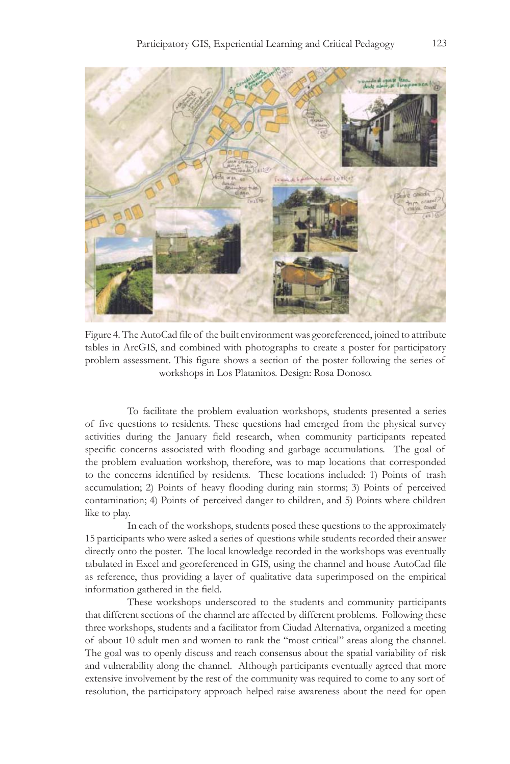

Figure 4. The AutoCad file of the built environment was georeferenced, joined to attribute tables in ArcGIS, and combined with photographs to create a poster for participatory problem assessment. This figure shows a section of the poster following the series of workshops in Los Platanitos. Design: Rosa Donoso.

To facilitate the problem evaluation workshops, students presented a series of five questions to residents. These questions had emerged from the physical survey activities during the January field research, when community participants repeated specific concerns associated with flooding and garbage accumulations. The goal of the problem evaluation workshop, therefore, was to map locations that corresponded to the concerns identified by residents. These locations included: 1) Points of trash accumulation; 2) Points of heavy flooding during rain storms; 3) Points of perceived contamination; 4) Points of perceived danger to children, and 5) Points where children like to play.

In each of the workshops, students posed these questions to the approximately 15 participants who were asked a series of questions while students recorded their answer directly onto the poster. The local knowledge recorded in the workshops was eventually tabulated in Excel and georeferenced in GIS, using the channel and house AutoCad file as reference, thus providing a layer of qualitative data superimposed on the empirical information gathered in the field.

These workshops underscored to the students and community participants that different sections of the channel are affected by different problems. Following these three workshops, students and a facilitator from Ciudad Alternativa, organized a meeting of about 10 adult men and women to rank the "most critical" areas along the channel. The goal was to openly discuss and reach consensus about the spatial variability of risk and vulnerability along the channel. Although participants eventually agreed that more extensive involvement by the rest of the community was required to come to any sort of resolution, the participatory approach helped raise awareness about the need for open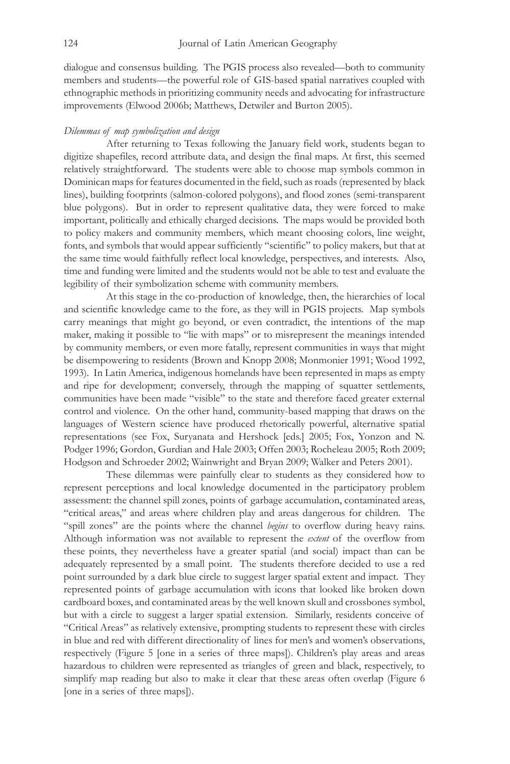dialogue and consensus building. The PGIS process also revealed—both to community members and students—the powerful role of GIS-based spatial narratives coupled with ethnographic methods in prioritizing community needs and advocating for infrastructure improvements (Elwood 2006b; Matthews, Detwiler and Burton 2005).

#### *Dilemmas of map symbolization and design*

After returning to Texas following the January field work, students began to digitize shapefiles, record attribute data, and design the final maps. At first, this seemed relatively straightforward. The students were able to choose map symbols common in Dominican maps for features documented in the field, such as roads (represented by black lines), building footprints (salmon-colored polygons), and flood zones (semi-transparent blue polygons). But in order to represent qualitative data, they were forced to make important, politically and ethically charged decisions. The maps would be provided both to policy makers and community members, which meant choosing colors, line weight, fonts, and symbols that would appear sufficiently "scientific" to policy makers, but that at the same time would faithfully reflect local knowledge, perspectives, and interests. Also, time and funding were limited and the students would not be able to test and evaluate the legibility of their symbolization scheme with community members.

At this stage in the co-production of knowledge, then, the hierarchies of local and scientific knowledge came to the fore, as they will in PGIS projects. Map symbols carry meanings that might go beyond, or even contradict, the intentions of the map maker, making it possible to "lie with maps" or to misrepresent the meanings intended by community members, or even more fatally, represent communities in ways that might be disempowering to residents (Brown and Knopp 2008; Monmonier 1991; Wood 1992, 1993). In Latin America, indigenous homelands have been represented in maps as empty and ripe for development; conversely, through the mapping of squatter settlements, communities have been made "visible" to the state and therefore faced greater external control and violence. On the other hand, community-based mapping that draws on the languages of Western science have produced rhetorically powerful, alternative spatial representations (see Fox, Suryanata and Hershock [eds.] 2005; Fox, Yonzon and N. Podger 1996; Gordon, Gurdian and Hale 2003; Offen 2003; Rocheleau 2005; Roth 2009; Hodgson and Schroeder 2002; Wainwright and Bryan 2009; Walker and Peters 2001).

These dilemmas were painfully clear to students as they considered how to represent perceptions and local knowledge documented in the participatory problem assessment: the channel spill zones, points of garbage accumulation, contaminated areas, "critical areas," and areas where children play and areas dangerous for children. The "spill zones" are the points where the channel *begins* to overflow during heavy rains. Although information was not available to represent the *extent* of the overflow from these points, they nevertheless have a greater spatial (and social) impact than can be adequately represented by a small point. The students therefore decided to use a red point surrounded by a dark blue circle to suggest larger spatial extent and impact. They represented points of garbage accumulation with icons that looked like broken down cardboard boxes, and contaminated areas by the well known skull and crossbones symbol, but with a circle to suggest a larger spatial extension. Similarly, residents conceive of "Critical Areas" as relatively extensive, prompting students to represent these with circles in blue and red with different directionality of lines for men's and women's observations, respectively (Figure 5 [one in a series of three maps]). Children's play areas and areas hazardous to children were represented as triangles of green and black, respectively, to simplify map reading but also to make it clear that these areas often overlap (Figure 6 [one in a series of three maps]).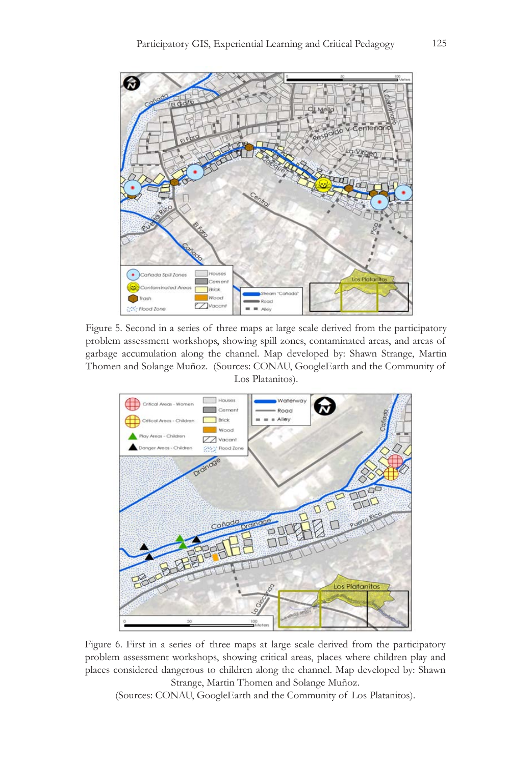

Figure 5. Second in a series of three maps at large scale derived from the participatory problem assessment workshops, showing spill zones, contaminated areas, and areas of garbage accumulation along the channel. Map developed by: Shawn Strange, Martin Thomen and Solange Muñoz. (Sources: CONAU, GoogleEarth and the Community of Los Platanitos).



Figure 6. First in a series of three maps at large scale derived from the participatory problem assessment workshops, showing critical areas, places where children play and places considered dangerous to children along the channel. Map developed by: Shawn Strange, Martin Thomen and Solange Muñoz.

(Sources: CONAU, GoogleEarth and the Community of Los Platanitos).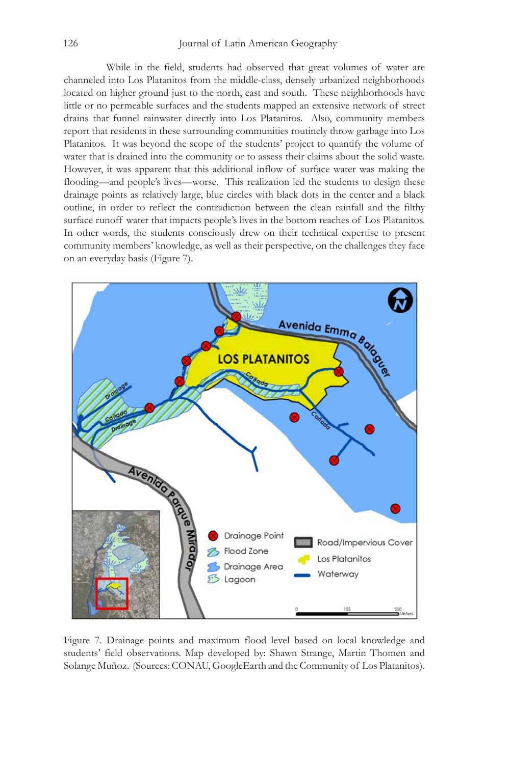While in the field, students had observed that great volumes of water are channeled into Los Platanitos from the middle-class, densely urbanized neighborhoods located on higher ground just to the north, east and south. These neighborhoods have little or no permeable surfaces and the students mapped an extensive network of street drains that funnel rainwater directly into Los Platanitos. Also, community members report that residents in these surrounding communities routinely throw garbage into Los Platanitos. It was beyond the scope of the students' project to quantify the volume of water that is drained into the community or to assess their claims about the solid waste. However, it was apparent that this additional inflow of surface water was making the flooding—and people's lives—worse. This realization led the students to design these drainage points as relatively large, blue circles with black dots in the center and a black outline, in order to reflect the contradiction between the clean rainfall and the filthy surface runoff water that impacts people's lives in the bottom reaches of Los Platanitos. In other words, the students consciously drew on their technical expertise to present community members' knowledge, as well as their perspective, on the challenges they face on an everyday basis (Figure 7).



Figure 7. Drainage points and maximum flood level based on local knowledge and students' field observations. Map developed by: Shawn Strange, Martin Thomen and Solange Muñoz. (Sources: CONAU, GoogleEarth and the Community of Los Platanitos).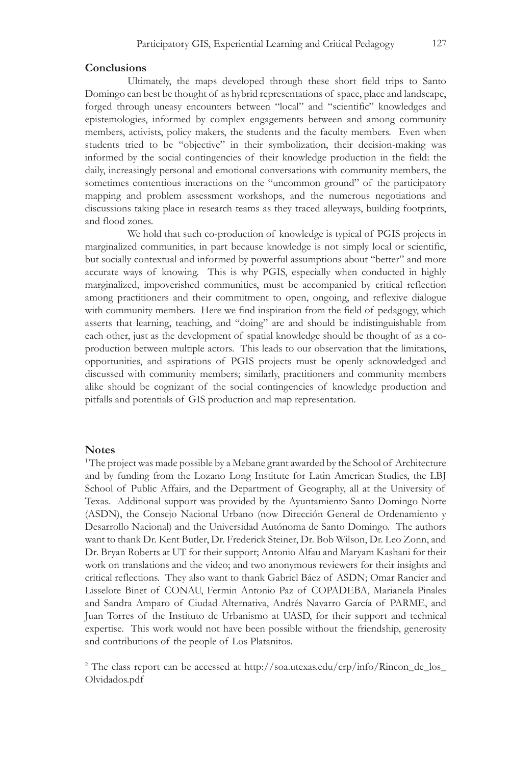#### **Conclusions**

Ultimately, the maps developed through these short field trips to Santo Domingo can best be thought of as hybrid representations of space, place and landscape, forged through uneasy encounters between "local" and "scientific" knowledges and epistemologies, informed by complex engagements between and among community members, activists, policy makers, the students and the faculty members. Even when students tried to be "objective" in their symbolization, their decision-making was informed by the social contingencies of their knowledge production in the field: the daily, increasingly personal and emotional conversations with community members, the sometimes contentious interactions on the "uncommon ground" of the participatory mapping and problem assessment workshops, and the numerous negotiations and discussions taking place in research teams as they traced alleyways, building footprints, and flood zones.

We hold that such co-production of knowledge is typical of PGIS projects in marginalized communities, in part because knowledge is not simply local or scientific, but socially contextual and informed by powerful assumptions about "better" and more accurate ways of knowing. This is why PGIS, especially when conducted in highly marginalized, impoverished communities, must be accompanied by critical reflection among practitioners and their commitment to open, ongoing, and reflexive dialogue with community members. Here we find inspiration from the field of pedagogy, which asserts that learning, teaching, and "doing" are and should be indistinguishable from each other, just as the development of spatial knowledge should be thought of as a coproduction between multiple actors. This leads to our observation that the limitations, opportunities, and aspirations of PGIS projects must be openly acknowledged and discussed with community members; similarly, practitioners and community members alike should be cognizant of the social contingencies of knowledge production and pitfalls and potentials of GIS production and map representation.

#### **Notes**

<sup>1</sup>The project was made possible by a Mebane grant awarded by the School of Architecture and by funding from the Lozano Long Institute for Latin American Studies, the LBJ School of Public Affairs, and the Department of Geography, all at the University of Texas. Additional support was provided by the Ayuntamiento Santo Domingo Norte (ASDN), the Consejo Nacional Urbano (now Dirección General de Ordenamiento y Desarrollo Nacional) and the Universidad Autónoma de Santo Domingo. The authors want to thank Dr. Kent Butler, Dr. Frederick Steiner, Dr. Bob Wilson, Dr. Leo Zonn, and Dr. Bryan Roberts at UT for their support; Antonio Alfau and Maryam Kashani for their work on translations and the video; and two anonymous reviewers for their insights and critical reflections. They also want to thank Gabriel Báez of ASDN; Omar Rancier and Lisselote Binet of CONAU, Fermin Antonio Paz of COPADEBA, Marianela Pinales and Sandra Amparo of Ciudad Alternativa, Andrés Navarro García of PARME, and Juan Torres of the Instituto de Urbanismo at UASD, for their support and technical expertise. This work would not have been possible without the friendship, generosity and contributions of the people of Los Platanitos.

<sup>2</sup> The class report can be accessed at http://soa.utexas.edu/crp/info/Rincon\_de\_los\_ Olvidados.pdf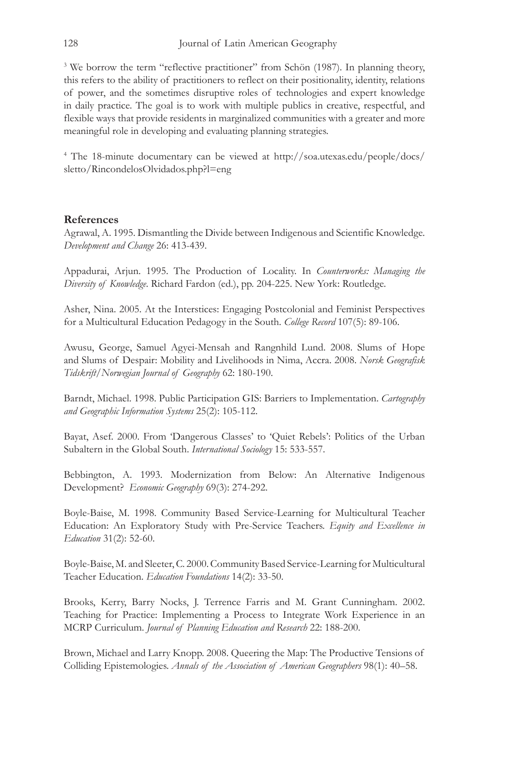<sup>3</sup> We borrow the term "reflective practitioner" from Schön (1987). In planning theory, this refers to the ability of practitioners to reflect on their positionality, identity, relations of power, and the sometimes disruptive roles of technologies and expert knowledge in daily practice. The goal is to work with multiple publics in creative, respectful, and flexible ways that provide residents in marginalized communities with a greater and more meaningful role in developing and evaluating planning strategies.

4 The 18-minute documentary can be viewed at http://soa.utexas.edu/people/docs/ sletto/RincondelosOlvidados.php?l=eng

#### **References**

Agrawal, A. 1995. Dismantling the Divide between Indigenous and Scientific Knowledge. *Development and Change* 26: 413-439.

Appadurai, Arjun. 1995. The Production of Locality. In *Counterworks: Managing the Diversity of Knowledge*. Richard Fardon (ed.), pp. 204-225. New York: Routledge.

Asher, Nina. 2005. At the Interstices: Engaging Postcolonial and Feminist Perspectives for a Multicultural Education Pedagogy in the South. *College Record* 107(5): 89-106.

Awusu, George, Samuel Agyei-Mensah and Rangnhild Lund. 2008. Slums of Hope and Slums of Despair: Mobility and Livelihoods in Nima, Accra. 2008. *Norsk Geografisk Tidskrift/Norwegian Journal of Geography* 62: 180-190.

Barndt, Michael. 1998. Public Participation GIS: Barriers to Implementation. *Cartography and Geographic Information Systems* 25(2): 105-112.

Bayat, Asef. 2000. From 'Dangerous Classes' to 'Quiet Rebels': Politics of the Urban Subaltern in the Global South. *International Sociology* 15: 533-557.

Bebbington, A. 1993. Modernization from Below: An Alternative Indigenous Development? *Economic Geography* 69(3): 274-292.

Boyle-Baise, M. 1998. Community Based Service-Learning for Multicultural Teacher Education: An Exploratory Study with Pre-Service Teachers. *Equity and Excellence in Education* 31(2): 52-60.

Boyle-Baise, M. and Sleeter, C. 2000. Community Based Service-Learning for Multicultural Teacher Education. *Education Foundations* 14(2): 33-50.

Brooks, Kerry, Barry Nocks, J. Terrence Farris and M. Grant Cunningham. 2002. Teaching for Practice: Implementing a Process to Integrate Work Experience in an MCRP Curriculum. *Journal of Planning Education and Research* 22: 188-200.

Brown, Michael and Larry Knopp. 2008. Queering the Map: The Productive Tensions of Colliding Epistemologies. *Annals of the Association of American Geographers* 98(1): 40–58.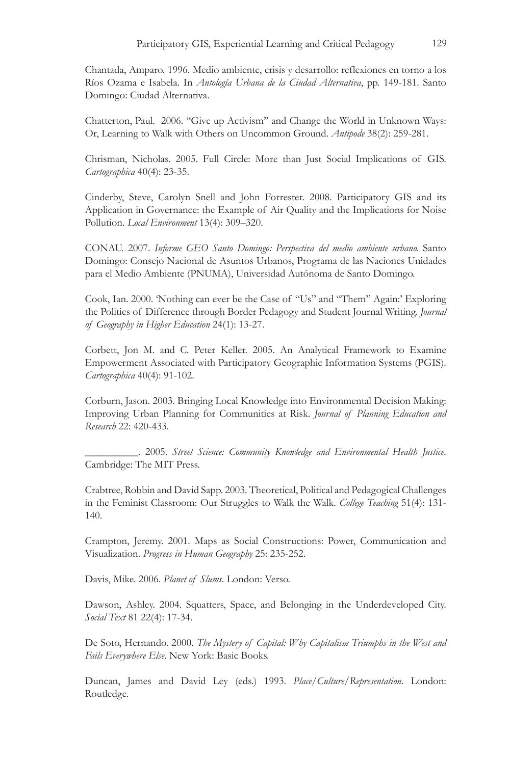Chantada, Amparo. 1996. Medio ambiente, crisis y desarrollo: reflexiones en torno a los Ríos Ozama e Isabela. In *Antología Urbana de la Ciudad Alternativa*, pp. 149-181. Santo Domingo: Ciudad Alternativa.

Chatterton, Paul. 2006. ''Give up Activism'' and Change the World in Unknown Ways: Or, Learning to Walk with Others on Uncommon Ground. *Antipode* 38(2): 259-281.

Chrisman, Nicholas. 2005. Full Circle: More than Just Social Implications of GIS. *Cartographica* 40(4): 23-35.

Cinderby, Steve, Carolyn Snell and John Forrester. 2008. Participatory GIS and its Application in Governance: the Example of Air Quality and the Implications for Noise Pollution. *Local Environment* 13(4): 309–320.

CONAU. 2007. *Informe GEO Santo Domingo: Perspectiva del medio ambiente urbano.* Santo Domingo: Consejo Nacional de Asuntos Urbanos, Programa de las Naciones Unidades para el Medio Ambiente (PNUMA), Universidad Autónoma de Santo Domingo.

Cook, Ian. 2000. 'Nothing can ever be the Case of "Us" and "Them" Again:' Exploring the Politics of Difference through Border Pedagogy and Student Journal Writing. *Journal of Geography in Higher Education* 24(1): 13-27.

Corbett, Jon M. and C. Peter Keller. 2005. An Analytical Framework to Examine Empowerment Associated with Participatory Geographic Information Systems (PGIS). *Cartographica* 40(4): 91-102.

Corburn, Jason. 2003. Bringing Local Knowledge into Environmental Decision Making: Improving Urban Planning for Communities at Risk. *Journal of Planning Education and Research* 22: 420-433.

\_\_\_\_\_\_\_\_\_\_. 2005. *Street Science: Community Knowledge and Environmental Health Justice*. Cambridge: The MIT Press.

Crabtree, Robbin and David Sapp. 2003. Theoretical, Political and Pedagogical Challenges in the Feminist Classroom: Our Struggles to Walk the Walk. *College Teaching* 51(4): 131- 140.

Crampton, Jeremy. 2001. Maps as Social Constructions: Power, Communication and Visualization. *Progress in Human Geography* 25: 235-252.

Davis, Mike. 2006. *Planet of Slums*. London: Verso.

Dawson, Ashley. 2004. Squatters, Space, and Belonging in the Underdeveloped City. *Social Text* 81 22(4): 17-34.

De Soto, Hernando. 2000. *The Mystery of Capital: Why Capitalism Triumphs in the West and Fails Everywhere Else*. New York: Basic Books.

Duncan, James and David Ley (eds.) 1993. *Place/Culture/Representation*. London: Routledge.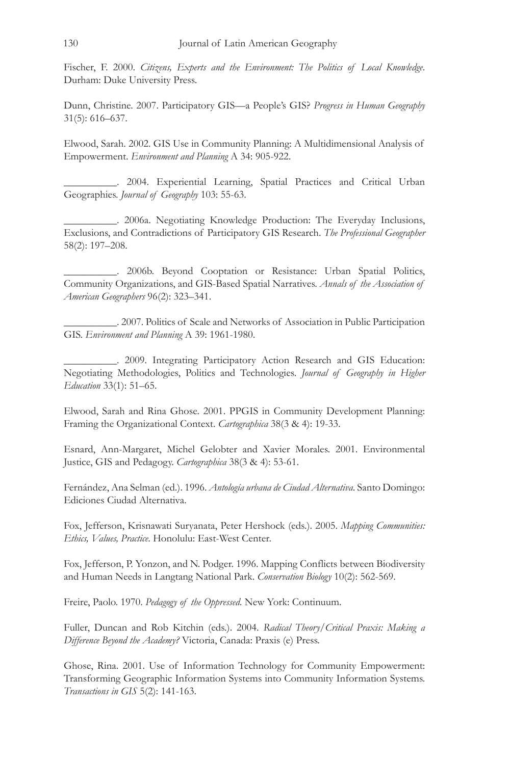Fischer, F. 2000. *Citizens, Experts and the Environment: The Politics of Local Knowledge*. Durham: Duke University Press.

Dunn, Christine. 2007. Participatory GIS—a People's GIS? *Progress in Human Geography*  31(5): 616–637.

Elwood, Sarah. 2002. GIS Use in Community Planning: A Multidimensional Analysis of Empowerment. *Environment and Planning* A 34: 905-922.

\_\_\_\_\_\_\_\_\_\_. 2004. Experiential Learning, Spatial Practices and Critical Urban Geographies. *Journal of Geography* 103: 55-63.

\_\_\_\_\_\_\_\_\_\_. 2006a. Negotiating Knowledge Production: The Everyday Inclusions, Exclusions, and Contradictions of Participatory GIS Research. *The Professional Geographer* 58(2): 197–208.

\_\_\_\_\_\_\_\_\_\_. 2006b. Beyond Cooptation or Resistance: Urban Spatial Politics, Community Organizations, and GIS-Based Spatial Narratives. *Annals of the Association of American Geographers* 96(2): 323–341.

\_\_\_\_\_\_\_\_\_\_. 2007. Politics of Scale and Networks of Association in Public Participation GIS. *Environment and Planning* A 39: 1961-1980.

\_\_\_\_\_\_\_\_\_\_. 2009. Integrating Participatory Action Research and GIS Education: Negotiating Methodologies, Politics and Technologies. *Journal of Geography in Higher Education* 33(1): 51–65.

Elwood, Sarah and Rina Ghose. 2001. PPGIS in Community Development Planning: Framing the Organizational Context. *Cartographica* 38(3 & 4): 19-33.

Esnard, Ann-Margaret, Michel Gelobter and Xavier Morales. 2001. Environmental Justice, GIS and Pedagogy. *Cartographica* 38(3 & 4): 53-61.

Fernández, Ana Selman (ed.). 1996. *Antología urbana de Ciudad Alternativa*. Santo Domingo: Ediciones Ciudad Alternativa.

Fox, Jefferson, Krisnawati Suryanata, Peter Hershock (eds.). 2005. *Mapping Communities: Ethics, Values, Practice*. Honolulu: East-West Center.

Fox, Jefferson, P. Yonzon, and N. Podger. 1996. Mapping Conflicts between Biodiversity and Human Needs in Langtang National Park. *Conservation Biology* 10(2): 562-569.

Freire, Paolo. 1970. *Pedagogy of the Oppressed*. New York: Continuum.

Fuller, Duncan and Rob Kitchin (eds.). 2004. *Radical Theory/Critical Praxis: Making a Difference Beyond the Academy?* Victoria, Canada: Praxis (e) Press.

Ghose, Rina. 2001. Use of Information Technology for Community Empowerment: Transforming Geographic Information Systems into Community Information Systems. *Transactions in GIS* 5(2): 141-163.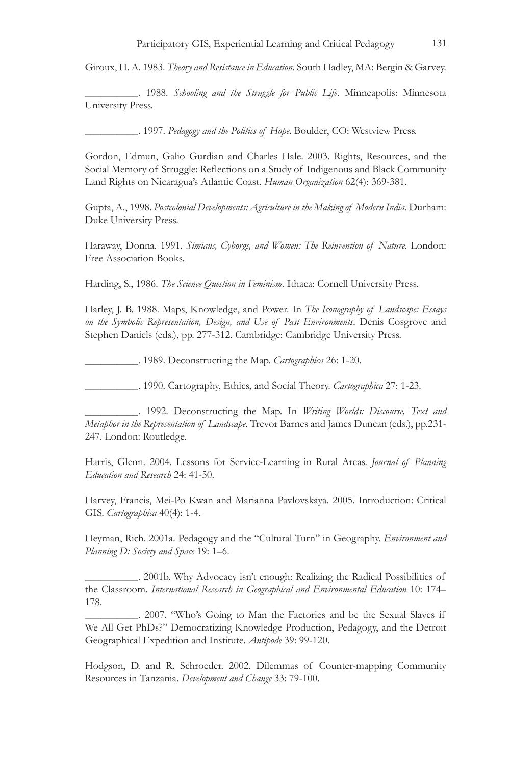Giroux, H. A. 1983. *Theory and Resistance in Education*. South Hadley, MA: Bergin & Garvey.

\_\_\_\_\_\_\_\_\_\_. 1988. *Schooling and the Struggle for Public Life*. Minneapolis: Minnesota University Press.

\_\_\_\_\_\_\_\_\_\_. 1997. *Pedagogy and the Politics of Hope*. Boulder, CO: Westview Press.

Gordon, Edmun, Galio Gurdian and Charles Hale. 2003. Rights, Resources, and the Social Memory of Struggle: Reflections on a Study of Indigenous and Black Community Land Rights on Nicaragua's Atlantic Coast. *Human Organization* 62(4): 369-381.

Gupta, A., 1998. *Postcolonial Developments: Agriculture in the Making of Modern India*. Durham: Duke University Press.

Haraway, Donna. 1991. *Simians, Cyborgs, and Women: The Reinvention of Nature.* London: Free Association Books.

Harding, S., 1986. *The Science Question in Feminism*. Ithaca: Cornell University Press.

Harley, J. B. 1988. Maps, Knowledge, and Power. In *The Iconography of Landscape: Essays on the Symbolic Representation, Design, and Use of Past Environments*. Denis Cosgrove and Stephen Daniels (eds.), pp. 277-312. Cambridge: Cambridge University Press.

\_\_\_\_\_\_\_\_\_\_. 1989. Deconstructing the Map. *Cartographica* 26: 1-20.

\_\_\_\_\_\_\_\_\_\_. 1990. Cartography, Ethics, and Social Theory. *Cartographica* 27: 1-23.

\_\_\_\_\_\_\_\_\_\_. 1992. Deconstructing the Map. In *Writing Worlds: Discourse, Text and Metaphor in the Representation of Landscape*. Trevor Barnes and James Duncan (eds.), pp.231- 247. London: Routledge.

Harris, Glenn. 2004. Lessons for Service-Learning in Rural Areas. *Journal of Planning Education and Research* 24: 41-50.

Harvey, Francis, Mei-Po Kwan and Marianna Pavlovskaya. 2005. Introduction: Critical GIS. *Cartographica* 40(4): 1-4.

Heyman, Rich. 2001a. Pedagogy and the "Cultural Turn" in Geography. *Environment and Planning D: Society and Space* 19: 1–6.

\_\_\_\_\_\_\_\_\_\_. 2001b. Why Advocacy isn't enough: Realizing the Radical Possibilities of the Classroom. *International Research in Geographical and Environmental Education* 10: 174– 178.

\_\_\_\_\_\_\_\_\_\_. 2007. "Who's Going to Man the Factories and be the Sexual Slaves if We All Get PhDs?" Democratizing Knowledge Production, Pedagogy, and the Detroit Geographical Expedition and Institute. *Antipode* 39: 99-120.

Hodgson, D. and R. Schroeder. 2002. Dilemmas of Counter-mapping Community Resources in Tanzania. *Development and Change* 33: 79-100.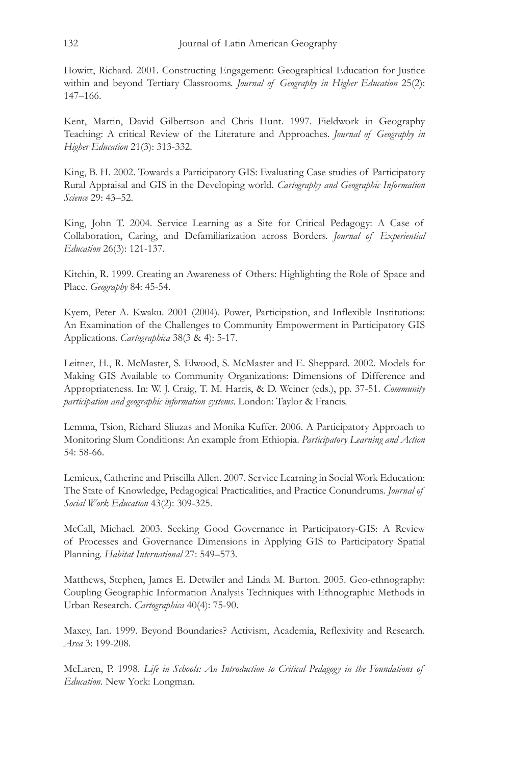Howitt, Richard. 2001. Constructing Engagement: Geographical Education for Justice within and beyond Tertiary Classrooms. *Journal of Geography in Higher Education* 25(2): 147–166.

Kent, Martin, David Gilbertson and Chris Hunt. 1997. Fieldwork in Geography Teaching: A critical Review of the Literature and Approaches. *Journal of Geography in Higher Education* 21(3): 313-332.

King, B. H. 2002. Towards a Participatory GIS: Evaluating Case studies of Participatory Rural Appraisal and GIS in the Developing world. *Cartography and Geographic Information Science* 29: 43–52.

King, John T. 2004. Service Learning as a Site for Critical Pedagogy: A Case of Collaboration, Caring, and Defamiliarization across Borders. *Journal of Experiential Education* 26(3): 121-137.

Kitchin, R. 1999. Creating an Awareness of Others: Highlighting the Role of Space and Place. *Geography* 84: 45-54.

Kyem, Peter A. Kwaku. 2001 (2004). Power, Participation, and Inflexible Institutions: An Examination of the Challenges to Community Empowerment in Participatory GIS Applications. *Cartographica* 38(3 & 4): 5-17.

Leitner, H., R. McMaster, S. Elwood, S. McMaster and E. Sheppard. 2002. Models for Making GIS Available to Community Organizations: Dimensions of Difference and Appropriateness. In: W. J. Craig, T. M. Harris, & D. Weiner (eds.), pp. 37-51. *Community participation and geographic information systems*. London: Taylor & Francis.

Lemma, Tsion, Richard Sliuzas and Monika Kuffer. 2006. A Participatory Approach to Monitoring Slum Conditions: An example from Ethiopia. *Participatory Learning and Action* 54: 58-66.

Lemieux, Catherine and Priscilla Allen. 2007. Service Learning in Social Work Education: The State of Knowledge, Pedagogical Practicalities, and Practice Conundrums. *Journal of Social Work Education* 43(2): 309-325.

McCall, Michael. 2003. Seeking Good Governance in Participatory-GIS: A Review of Processes and Governance Dimensions in Applying GIS to Participatory Spatial Planning. *Habitat International* 27: 549–573.

Matthews, Stephen, James E. Detwiler and Linda M. Burton. 2005. Geo-ethnography: Coupling Geographic Information Analysis Techniques with Ethnographic Methods in Urban Research. *Cartographica* 40(4): 75-90.

Maxey, Ian. 1999. Beyond Boundaries? Activism, Academia, Reflexivity and Research. *Area* 3: 199-208.

McLaren, P. 1998. *Life in Schools: An Introduction to Critical Pedagogy in the Foundations of Education*. New York: Longman.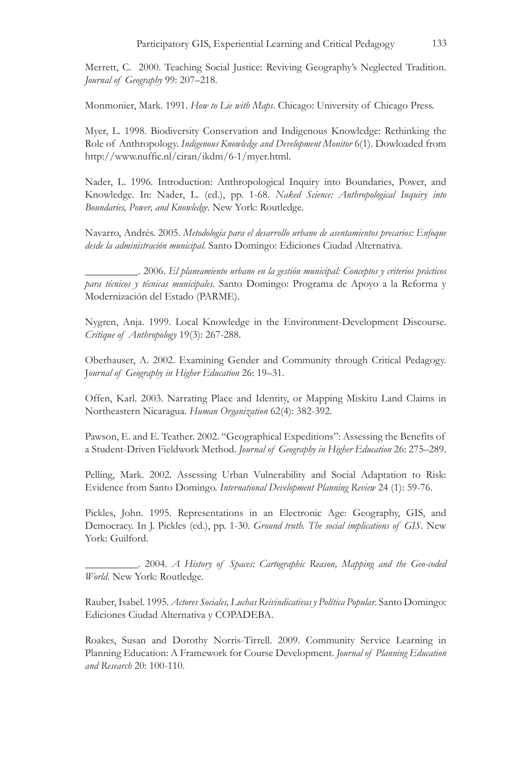Merrett, C. 2000. Teaching Social Justice: Reviving Geography's Neglected Tradition. *Journal of Geography* 99: 207–218.

Monmonier, Mark. 1991. *How to Lie with Maps*. Chicago: University of Chicago Press.

Myer, L. 1998. Biodiversity Conservation and Indigenous Knowledge: Rethinking the Role of Anthropology. *Indigenous Knowledge and Development Monitor* 6(1). Dowloaded from http://www.nuffic.nl/ciran/ikdm/6-1/myer.html.

Nader, L. 1996. Introduction: Anthropological Inquiry into Boundaries, Power, and Knowledge. In: Nader, L. (ed.), pp. 1-68. *Naked Science: Anthropological Inquiry into Boundaries, Power, and Knowledge*. New York: Routledge.

Navarro, Andrés. 2005. *Metodología para el desarrollo urbano de asentamientos precarios: Enfoque desde la administración municipal*. Santo Domingo: Ediciones Ciudad Alternativa.

\_\_\_\_\_\_\_\_\_\_. 2006. *El planeamiento urbano en la gestión municipal: Conceptos y criterios prácticos para técnicos y técnicas municipales.* Santo Domingo: Programa de Apoyo a la Reforma y Modernización del Estado (PARME).

Nygren, Anja. 1999. Local Knowledge in the Environment-Development Discourse. *Critique of Anthropology* 19(3): 267-288.

Oberhauser, A. 2002. Examining Gender and Community through Critical Pedagogy. J*ournal of Geography in Higher Education* 26: 19–31.

Offen, Karl. 2003. Narrating Place and Identity, or Mapping Miskitu Land Claims in Northeastern Nicaragua. *Human Organization* 62(4): 382-392.

Pawson, E. and E. Teather. 2002. "Geographical Expeditions": Assessing the Benefits of a Student-Driven Fieldwork Method. *Journal of Geography in Higher Education* 26: 275–289.

Pelling, Mark. 2002. Assessing Urban Vulnerability and Social Adaptation to Risk: Evidence from Santo Domingo. *International Development Planning Review* 24 (1): 59-76.

Pickles, John. 1995. Representations in an Electronic Age: Geography, GIS, and Democracy. In J. Pickles (ed.), pp. 1-30. *Ground truth. The social implications of GIS.* New York: Guilford.

\_\_\_\_\_\_\_\_\_\_. 2004. *A History of Spaces: Cartographic Reason, Mapping and the Geo-coded World*. New York: Routledge.

Rauber, Isabel. 1995. *Actores Sociales, Luchas Reivindicativas y Política Popular*. Santo Domingo: Ediciones Ciudad Alternativa y COPADEBA.

Roakes, Susan and Dorothy Norris-Tirrell. 2009. Community Service Learning in Planning Education: A Framework for Course Development. *Journal of Planning Education and Research* 20: 100-110.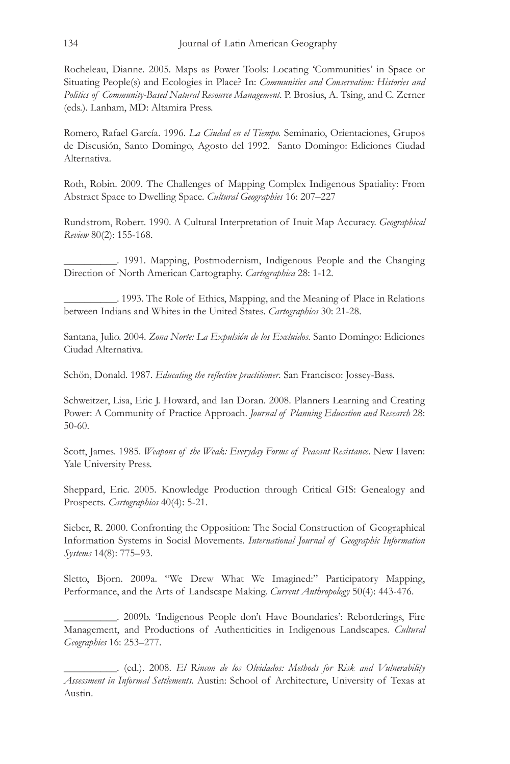Rocheleau, Dianne. 2005. Maps as Power Tools: Locating 'Communities' in Space or Situating People(s) and Ecologies in Place? In: *Communities and Conservation: Histories and Politics of Community-Based Natural Resource Management*. P. Brosius, A. Tsing, and C. Zerner (eds.). Lanham, MD: Altamira Press.

Romero, Rafael García. 1996. *La Ciudad en el Tiempo.* Seminario, Orientaciones, Grupos de Discusión, Santo Domingo, Agosto del 1992. Santo Domingo: Ediciones Ciudad Alternativa.

Roth, Robin. 2009. The Challenges of Mapping Complex Indigenous Spatiality: From Abstract Space to Dwelling Space. *Cultural Geographies* 16: 207–227

Rundstrom, Robert. 1990. A Cultural Interpretation of Inuit Map Accuracy. *Geographical Review* 80(2): 155-168.

\_\_\_\_\_\_\_\_\_\_. 1991. Mapping, Postmodernism, Indigenous People and the Changing Direction of North American Cartography. *Cartographica* 28: 1-12.

\_\_\_\_\_\_\_\_\_\_. 1993. The Role of Ethics, Mapping, and the Meaning of Place in Relations between Indians and Whites in the United States. *Cartographica* 30: 21-28.

Santana, Julio. 2004. *Zona Norte: La Expulsión de los Excluidos*. Santo Domingo: Ediciones Ciudad Alternativa.

Schön, Donald. 1987. *Educating the reflective practitioner*. San Francisco: Jossey-Bass.

Schweitzer, Lisa, Eric J. Howard, and Ian Doran. 2008. Planners Learning and Creating Power: A Community of Practice Approach. *Journal of Planning Education and Research* 28: 50-60.

Scott, James. 1985. *Weapons of the Weak: Everyday Forms of Peasant Resistance*. New Haven: Yale University Press.

Sheppard, Eric. 2005. Knowledge Production through Critical GIS: Genealogy and Prospects. *Cartographica* 40(4): 5-21.

Sieber, R. 2000. Confronting the Opposition: The Social Construction of Geographical Information Systems in Social Movements. *International Journal of Geographic Information Systems* 14(8): 775–93.

Sletto, Bjorn. 2009a. "We Drew What We Imagined:" Participatory Mapping, Performance, and the Arts of Landscape Making. *Current Anthropology* 50(4): 443-476.

\_\_\_\_\_\_\_\_\_\_. 2009b. 'Indigenous People don't Have Boundaries': Reborderings, Fire Management, and Productions of Authenticities in Indigenous Landscapes. *Cultural Geographies* 16: 253–277.

\_\_\_\_\_\_\_\_\_\_. (ed.). 2008. *El Rincon de los Olvidados: Methods for Risk and Vulnerability Assessment in Informal Settlements*. Austin: School of Architecture, University of Texas at Austin.